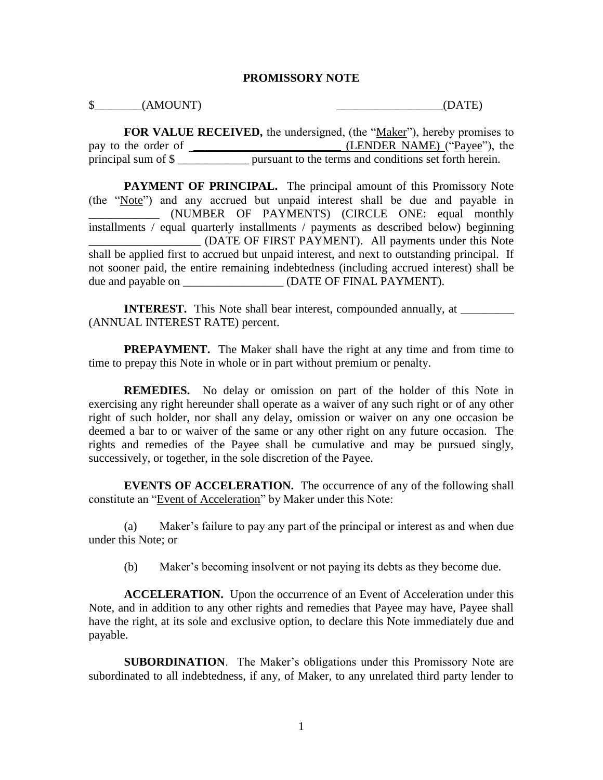## **PROMISSORY NOTE**

 $\Diamond$  (AMOUNT)  $(DATE)$ 

**FOR VALUE RECEIVED,** the undersigned, (the "Maker"), hereby promises to pay to the order of **\_\_\_\_\_\_\_\_\_\_\_\_\_\_\_\_\_\_\_\_\_\_\_\_\_\_\_** (LENDER NAME) ("Payee"), the principal sum of \$ \_\_\_\_\_\_\_\_\_\_\_\_ pursuant to the terms and conditions set forth herein.

PAYMENT OF PRINCIPAL. The principal amount of this Promissory Note (the "Note") and any accrued but unpaid interest shall be due and payable in \_\_\_\_\_\_\_\_\_\_\_\_ (NUMBER OF PAYMENTS) (CIRCLE ONE: equal monthly installments / equal quarterly installments / payments as described below) beginning \_\_\_\_\_\_\_\_\_\_\_\_\_\_\_\_\_\_\_ (DATE OF FIRST PAYMENT). All payments under this Note shall be applied first to accrued but unpaid interest, and next to outstanding principal. If not sooner paid, the entire remaining indebtedness (including accrued interest) shall be due and payable on \_\_\_\_\_\_\_\_\_\_\_\_\_\_\_\_\_ (DATE OF FINAL PAYMENT).

**INTEREST.** This Note shall bear interest, compounded annually, at \_\_\_\_\_\_\_\_\_\_\_\_\_\_ (ANNUAL INTEREST RATE) percent.

**PREPAYMENT.** The Maker shall have the right at any time and from time to time to prepay this Note in whole or in part without premium or penalty.

**REMEDIES.** No delay or omission on part of the holder of this Note in exercising any right hereunder shall operate as a waiver of any such right or of any other right of such holder, nor shall any delay, omission or waiver on any one occasion be deemed a bar to or waiver of the same or any other right on any future occasion. The rights and remedies of the Payee shall be cumulative and may be pursued singly, successively, or together, in the sole discretion of the Payee.

**EVENTS OF ACCELERATION.** The occurrence of any of the following shall constitute an "Event of Acceleration" by Maker under this Note:

(a) Maker's failure to pay any part of the principal or interest as and when due under this Note; or

(b) Maker's becoming insolvent or not paying its debts as they become due.

**ACCELERATION.** Upon the occurrence of an Event of Acceleration under this Note, and in addition to any other rights and remedies that Payee may have, Payee shall have the right, at its sole and exclusive option, to declare this Note immediately due and payable.

**SUBORDINATION**. The Maker's obligations under this Promissory Note are subordinated to all indebtedness, if any, of Maker, to any unrelated third party lender to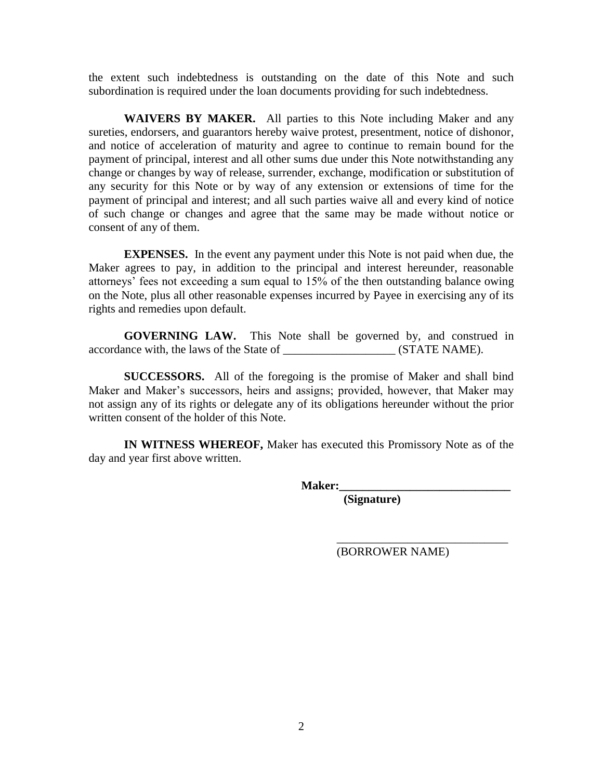the extent such indebtedness is outstanding on the date of this Note and such subordination is required under the loan documents providing for such indebtedness.

**WAIVERS BY MAKER.** All parties to this Note including Maker and any sureties, endorsers, and guarantors hereby waive protest, presentment, notice of dishonor, and notice of acceleration of maturity and agree to continue to remain bound for the payment of principal, interest and all other sums due under this Note notwithstanding any change or changes by way of release, surrender, exchange, modification or substitution of any security for this Note or by way of any extension or extensions of time for the payment of principal and interest; and all such parties waive all and every kind of notice of such change or changes and agree that the same may be made without notice or consent of any of them.

**EXPENSES.** In the event any payment under this Note is not paid when due, the Maker agrees to pay, in addition to the principal and interest hereunder, reasonable attorneys' fees not exceeding a sum equal to 15% of the then outstanding balance owing on the Note, plus all other reasonable expenses incurred by Payee in exercising any of its rights and remedies upon default.

**GOVERNING LAW.** This Note shall be governed by, and construed in accordance with, the laws of the State of \_\_\_\_\_\_\_\_\_\_\_\_\_\_\_\_\_\_\_\_\_\_ (STATE NAME).

**SUCCESSORS.** All of the foregoing is the promise of Maker and shall bind Maker and Maker's successors, heirs and assigns; provided, however, that Maker may not assign any of its rights or delegate any of its obligations hereunder without the prior written consent of the holder of this Note.

**IN WITNESS WHEREOF,** Maker has executed this Promissory Note as of the day and year first above written.

**Maker:\_\_\_\_\_\_\_\_\_\_\_\_\_\_\_\_\_\_\_\_\_\_\_\_\_\_\_\_\_**

 **(Signature)**

(BORROWER NAME)

\_\_\_\_\_\_\_\_\_\_\_\_\_\_\_\_\_\_\_\_\_\_\_\_\_\_\_\_\_